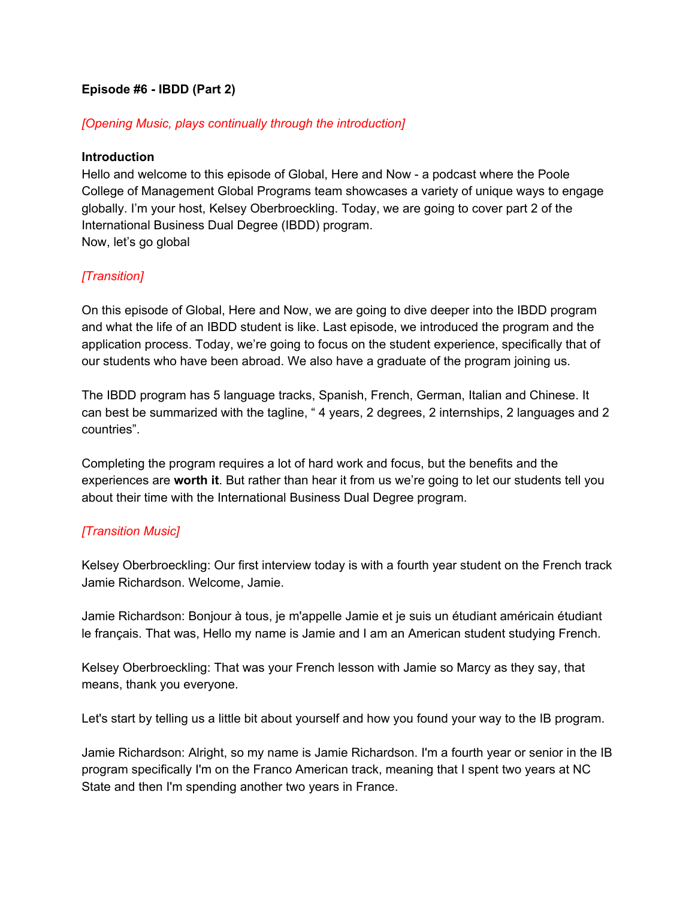### **Episode #6 - IBDD (Part 2)**

### *[Opening Music, plays continually through the introduction]*

#### **Introduction**

Hello and welcome to this episode of Global, Here and Now - a podcast where the Poole College of Management Global Programs team showcases a variety of unique ways to engage globally. I'm your host, Kelsey Oberbroeckling. Today, we are going to cover part 2 of the International Business Dual Degree (IBDD) program. Now, let's go global

### *[Transition]*

On this episode of Global, Here and Now, we are going to dive deeper into the IBDD program and what the life of an IBDD student is like. Last episode, we introduced the program and the application process. Today, we're going to focus on the student experience, specifically that of our students who have been abroad. We also have a graduate of the program joining us.

The IBDD program has 5 language tracks, Spanish, French, German, Italian and Chinese. It can best be summarized with the tagline, " 4 years, 2 degrees, 2 internships, 2 languages and 2 countries".

Completing the program requires a lot of hard work and focus, but the benefits and the experiences are **worth it**. But rather than hear it from us we're going to let our students tell you about their time with the International Business Dual Degree program.

### *[Transition Music]*

Kelsey Oberbroeckling: Our first interview today is with a fourth year student on the French track Jamie Richardson. Welcome, Jamie.

Jamie Richardson: Bonjour à tous, je m'appelle Jamie et je suis un étudiant américain étudiant le français. That was, Hello my name is Jamie and I am an American student studying French.

Kelsey Oberbroeckling: That was your French lesson with Jamie so Marcy as they say, that means, thank you everyone.

Let's start by telling us a little bit about yourself and how you found your way to the IB program.

Jamie Richardson: Alright, so my name is Jamie Richardson. I'm a fourth year or senior in the IB program specifically I'm on the Franco American track, meaning that I spent two years at NC State and then I'm spending another two years in France.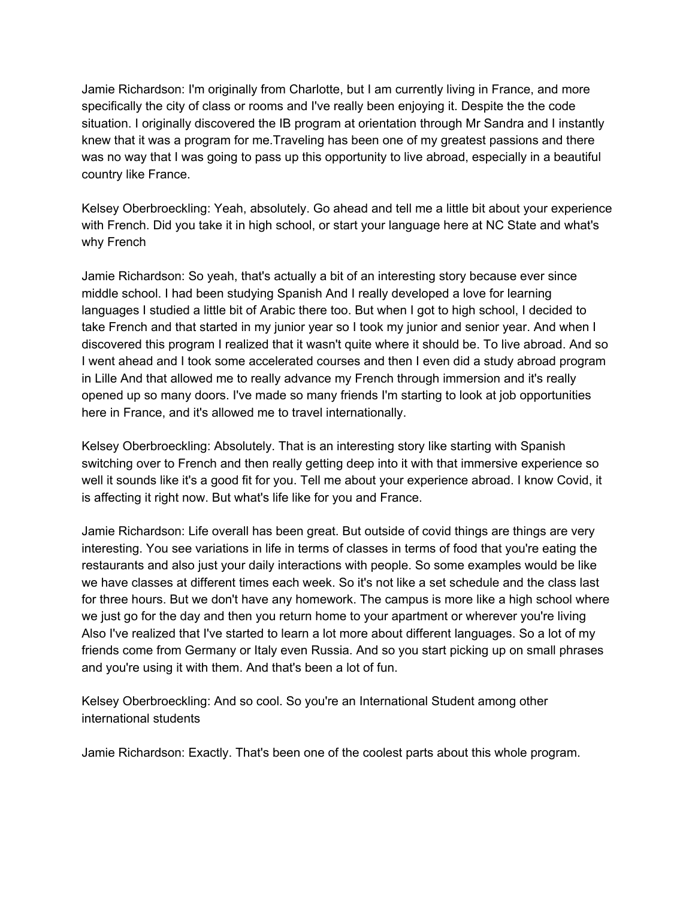Jamie Richardson: I'm originally from Charlotte, but I am currently living in France, and more specifically the city of class or rooms and I've really been enjoying it. Despite the the code situation. I originally discovered the IB program at orientation through Mr Sandra and I instantly knew that it was a program for me.Traveling has been one of my greatest passions and there was no way that I was going to pass up this opportunity to live abroad, especially in a beautiful country like France.

Kelsey Oberbroeckling: Yeah, absolutely. Go ahead and tell me a little bit about your experience with French. Did you take it in high school, or start your language here at NC State and what's why French

Jamie Richardson: So yeah, that's actually a bit of an interesting story because ever since middle school. I had been studying Spanish And I really developed a love for learning languages I studied a little bit of Arabic there too. But when I got to high school, I decided to take French and that started in my junior year so I took my junior and senior year. And when I discovered this program I realized that it wasn't quite where it should be. To live abroad. And so I went ahead and I took some accelerated courses and then I even did a study abroad program in Lille And that allowed me to really advance my French through immersion and it's really opened up so many doors. I've made so many friends I'm starting to look at job opportunities here in France, and it's allowed me to travel internationally.

Kelsey Oberbroeckling: Absolutely. That is an interesting story like starting with Spanish switching over to French and then really getting deep into it with that immersive experience so well it sounds like it's a good fit for you. Tell me about your experience abroad. I know Covid, it is affecting it right now. But what's life like for you and France.

Jamie Richardson: Life overall has been great. But outside of covid things are things are very interesting. You see variations in life in terms of classes in terms of food that you're eating the restaurants and also just your daily interactions with people. So some examples would be like we have classes at different times each week. So it's not like a set schedule and the class last for three hours. But we don't have any homework. The campus is more like a high school where we just go for the day and then you return home to your apartment or wherever you're living Also I've realized that I've started to learn a lot more about different languages. So a lot of my friends come from Germany or Italy even Russia. And so you start picking up on small phrases and you're using it with them. And that's been a lot of fun.

Kelsey Oberbroeckling: And so cool. So you're an International Student among other international students

Jamie Richardson: Exactly. That's been one of the coolest parts about this whole program.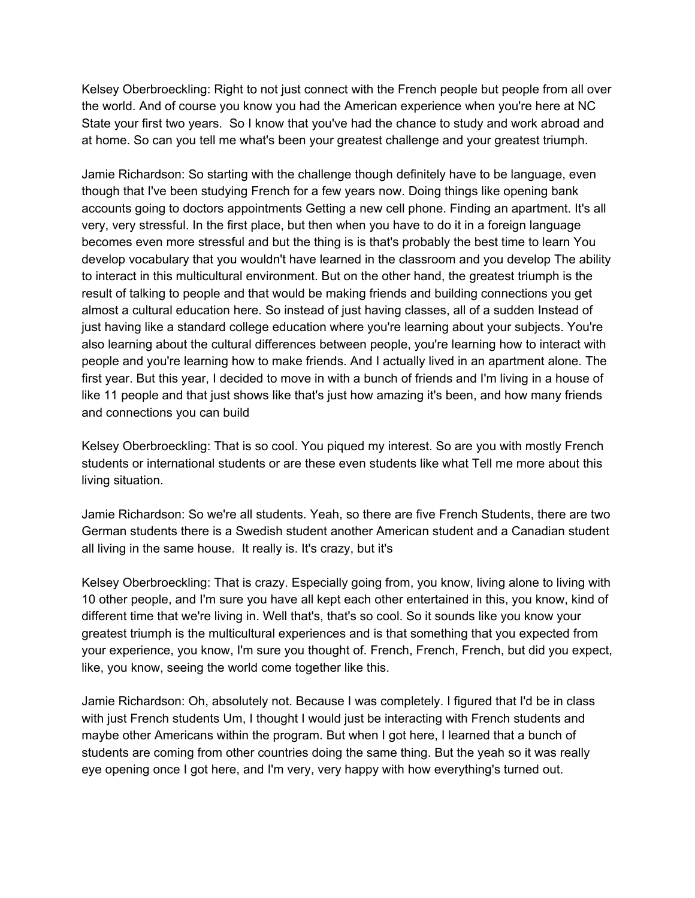Kelsey Oberbroeckling: Right to not just connect with the French people but people from all over the world. And of course you know you had the American experience when you're here at NC State your first two years. So I know that you've had the chance to study and work abroad and at home. So can you tell me what's been your greatest challenge and your greatest triumph.

Jamie Richardson: So starting with the challenge though definitely have to be language, even though that I've been studying French for a few years now. Doing things like opening bank accounts going to doctors appointments Getting a new cell phone. Finding an apartment. It's all very, very stressful. In the first place, but then when you have to do it in a foreign language becomes even more stressful and but the thing is is that's probably the best time to learn You develop vocabulary that you wouldn't have learned in the classroom and you develop The ability to interact in this multicultural environment. But on the other hand, the greatest triumph is the result of talking to people and that would be making friends and building connections you get almost a cultural education here. So instead of just having classes, all of a sudden Instead of just having like a standard college education where you're learning about your subjects. You're also learning about the cultural differences between people, you're learning how to interact with people and you're learning how to make friends. And I actually lived in an apartment alone. The first year. But this year, I decided to move in with a bunch of friends and I'm living in a house of like 11 people and that just shows like that's just how amazing it's been, and how many friends and connections you can build

Kelsey Oberbroeckling: That is so cool. You piqued my interest. So are you with mostly French students or international students or are these even students like what Tell me more about this living situation.

Jamie Richardson: So we're all students. Yeah, so there are five French Students, there are two German students there is a Swedish student another American student and a Canadian student all living in the same house. It really is. It's crazy, but it's

Kelsey Oberbroeckling: That is crazy. Especially going from, you know, living alone to living with 10 other people, and I'm sure you have all kept each other entertained in this, you know, kind of different time that we're living in. Well that's, that's so cool. So it sounds like you know your greatest triumph is the multicultural experiences and is that something that you expected from your experience, you know, I'm sure you thought of. French, French, French, but did you expect, like, you know, seeing the world come together like this.

Jamie Richardson: Oh, absolutely not. Because I was completely. I figured that I'd be in class with just French students Um, I thought I would just be interacting with French students and maybe other Americans within the program. But when I got here, I learned that a bunch of students are coming from other countries doing the same thing. But the yeah so it was really eye opening once I got here, and I'm very, very happy with how everything's turned out.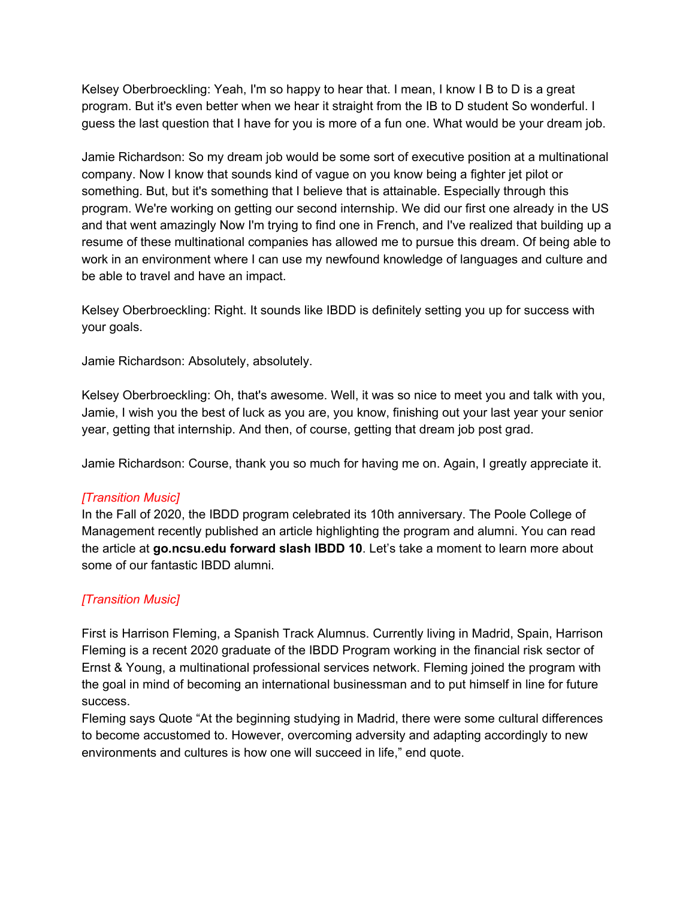Kelsey Oberbroeckling: Yeah, I'm so happy to hear that. I mean, I know I B to D is a great program. But it's even better when we hear it straight from the IB to D student So wonderful. I guess the last question that I have for you is more of a fun one. What would be your dream job.

Jamie Richardson: So my dream job would be some sort of executive position at a multinational company. Now I know that sounds kind of vague on you know being a fighter jet pilot or something. But, but it's something that I believe that is attainable. Especially through this program. We're working on getting our second internship. We did our first one already in the US and that went amazingly Now I'm trying to find one in French, and I've realized that building up a resume of these multinational companies has allowed me to pursue this dream. Of being able to work in an environment where I can use my newfound knowledge of languages and culture and be able to travel and have an impact.

Kelsey Oberbroeckling: Right. It sounds like IBDD is definitely setting you up for success with your goals.

Jamie Richardson: Absolutely, absolutely.

Kelsey Oberbroeckling: Oh, that's awesome. Well, it was so nice to meet you and talk with you, Jamie, I wish you the best of luck as you are, you know, finishing out your last year your senior year, getting that internship. And then, of course, getting that dream job post grad.

Jamie Richardson: Course, thank you so much for having me on. Again, I greatly appreciate it.

### *[Transition Music]*

In the Fall of 2020, the IBDD program celebrated its 10th anniversary. The Poole College of Management recently published an article highlighting the program and alumni. You can read the article at **go.ncsu.edu forward slash IBDD 10**. Let's take a moment to learn more about some of our fantastic IBDD alumni.

# *[Transition Music]*

First is Harrison Fleming, a Spanish Track Alumnus. Currently living in Madrid, Spain, Harrison Fleming is a recent 2020 graduate of the IBDD Program working in the financial risk sector of Ernst & Young, a multinational professional services network. Fleming joined the program with the goal in mind of becoming an international businessman and to put himself in line for future success.

Fleming says Quote "At the beginning studying in Madrid, there were some cultural differences to become accustomed to. However, overcoming adversity and adapting accordingly to new environments and cultures is how one will succeed in life," end quote.